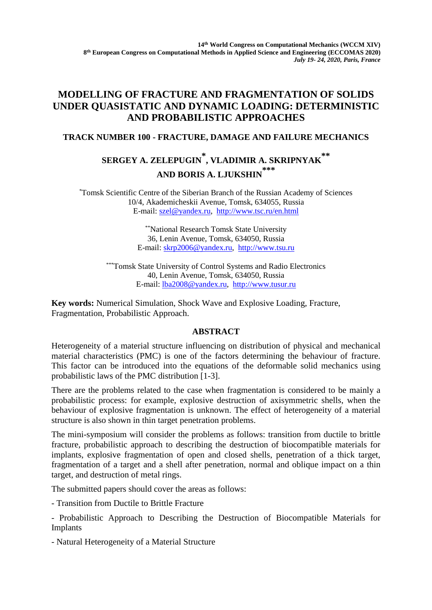## **MODELLING OF FRACTURE AND FRAGMENTATION OF SOLIDS UNDER QUASISTATIC AND DYNAMIC LOADING: DETERMINISTIC AND PROBABILISTIC APPROACHES**

### **TRACK NUMBER 100 - FRACTURE, DAMAGE AND FAILURE MECHANICS**

# **SERGEY A. ZELEPUGIN \* , VLADIMIR A. SKRIPNYAK \*\* AND BORIS A. LJUKSHIN \*\*\***

\*Tomsk Scientific Centre of the Siberian Branch of the Russian Academy of Sciences 10/4, Akademicheskii Avenue, Tomsk, 634055, Russia E-mail: [szel@yandex.ru,](mailto:szel@yandex.ru) <http://www.tsc.ru/en.html>

> \*\*National Research Tomsk State University 36, Lenin Avenue, Tomsk, 634050, Russia E-mail: [skrp2006@yandex.ru,](mailto:skrp2006@yandex.ru) http:/[/www.tsu.ru](http://www.tsu.ru/)

\*\*\*Tomsk State University of Control Systems and Radio Electronics 40, Lenin Avenue, Tomsk, 634050, Russia E-mail: [lba2008@yandex.ru,](mailto:lba2008@yandex.ru) [http://www.tusur.ru](http://www.tusur.ru/)

**Key words:** Numerical Simulation, Shock Wave and Explosive Loading, Fracture, Fragmentation, Probabilistic Approach.

### **ABSTRACT**

Heterogeneity of a material structure influencing on distribution of physical and mechanical material characteristics (PMC) is one of the factors determining the behaviour of fracture. This factor can be introduced into the equations of the deformable solid mechanics using probabilistic laws of the PMC distribution [1-3].

There are the problems related to the case when fragmentation is considered to be mainly a probabilistic process: for example, explosive destruction of axisymmetric shells, when the behaviour of explosive fragmentation is unknown. The effect of heterogeneity of a material structure is also shown in thin target penetration problems.

The mini-symposium will consider the problems as follows: transition from ductile to brittle fracture, probabilistic approach to describing the destruction of biocompatible materials for implants, explosive fragmentation of open and closed shells, penetration of a thick target, fragmentation of a target and a shell after penetration, normal and oblique impact on a thin target, and destruction of metal rings.

The submitted papers should cover the areas as follows:

- Transition from Ductile to Brittle Fracture

- Probabilistic Approach to Describing the Destruction of Biocompatible Materials for Implants

- Natural Heterogeneity of a Material Structure